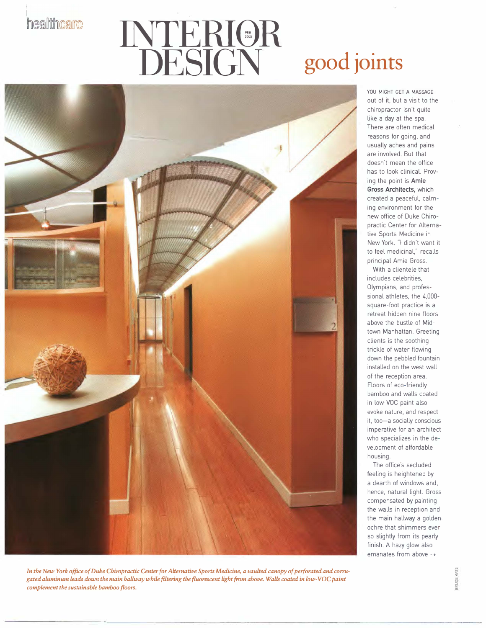healtthcare

## **INTER10R DESIGN good joints**



With a clientele that includes celebrities, Olympians, and professional athletes, the 4,000 square-foot practice is a retreat hidden nine floors above the bustle of Midtown Manhattan. Greeting clients is the soothing trickle of water flowing down the pebbled fountain installed on the west wall of the reception area. Floors of eco-friendly bamboo and walls coated in low-VOC paint also evoke nature, and respect it, too-a socially conscious imperative for an architect who specializes in the development of affordable housing.

The office's secluded feeling is heightened by a dearth of windows and, hence, natural light. Gross compensated by painting the walls in reception and the main hallway a golden, ochre that shimmers ever so slightly from its pearly finish. A hazy glow also emanates from above ->



**BRUCE K**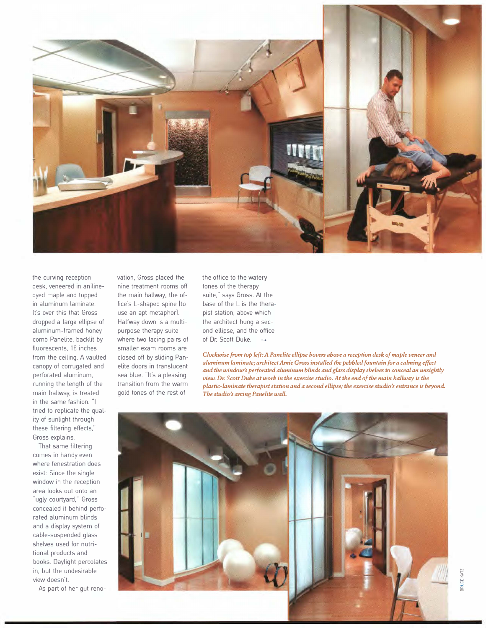

the curving reception desk, veneered in anilinedyed maple and topped in aluminum laminate. It's over this that Gross dropped a large ellipse of aluminum-framed honeycomb Panelite, backlit by fluorescents, 18 inches from the ceiling. A vaulted canopy of corrugated and perforated aluminum, running the length of the main hallway, is treated in the same fashion. "I tried to replicate the quality of sunlight through these filtering effects," Gross explains.

That same filtering comes in handy even where fenestration does exist: Since the single window in the reception area looks out onto an "ugly courtyard," Gross concealed it behind perforated aluminum blinds and a display system of cable-suspended glass shelves used for nutritional products and books. Daylight percolates in, but the undesirable view doesn't.

As part of her gut reno-

vation, Gross placed the nine treatment rooms off the main hallway, the office's L-shaped spine [to use an apt metaphor). Halfway down is a multipurpose therapy suite where two facing pairs of smaller exam rooms are closed off by sliding Panelite doors in translucent sea blue. "It's a pleasing transition from the warm gold tones of the rest of

the office to the watery tones of the therapy suite," says Gross. At the base of the L is the therapist station, above which the architect hung a second ellipse, and the office of Dr. Scott Duke. -

*Clockwise from top left: A Pane lite ellipse hovers above a reception desk of maple veneer and aluminum laminate; architect Amie Gross installed the pebbled fountain for a calming effect and the window's perforated aluminum blinds and glass display shelves to conceal an unsightly view. Dr. Scott Duke at work in the exercise studio. At the end of the main hallway is the plastic-laminate therapist station and a second ellipse; the exercise studio's entrance is beyond. The studio's arcing Panelite wall.*